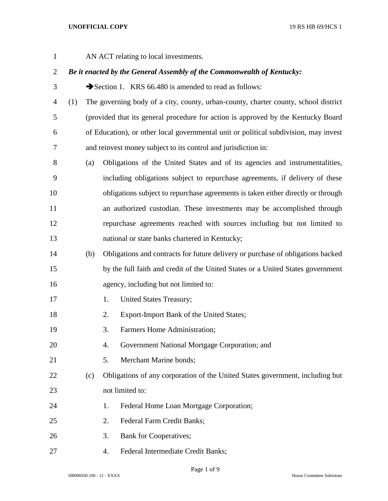AN ACT relating to local investments.

# *Be it enacted by the General Assembly of the Commonwealth of Kentucky:*

3 Section 1. KRS 66.480 is amended to read as follows:

 (1) The governing body of a city, county, urban-county, charter county, school district (provided that its general procedure for action is approved by the Kentucky Board of Education), or other local governmental unit or political subdivision, may invest and reinvest money subject to its control and jurisdiction in:

 (a) Obligations of the United States and of its agencies and instrumentalities, including obligations subject to repurchase agreements, if delivery of these obligations subject to repurchase agreements is taken either directly or through an authorized custodian. These investments may be accomplished through repurchase agreements reached with sources including but not limited to national or state banks chartered in Kentucky;

# (b) Obligations and contracts for future delivery or purchase of obligations backed by the full faith and credit of the United States or a United States government agency, including but not limited to:

- 17 1. United States Treasury;
- 2. Export-Import Bank of the United States;
- 3. Farmers Home Administration;
- 4. Government National Mortgage Corporation; and
- 5. Merchant Marine bonds;
- (c) Obligations of any corporation of the United States government, including but not limited to:
- 24 1. Federal Home Loan Mortgage Corporation;
- 2. Federal Farm Credit Banks;
- 3. Bank for Cooperatives;
- 4. Federal Intermediate Credit Banks;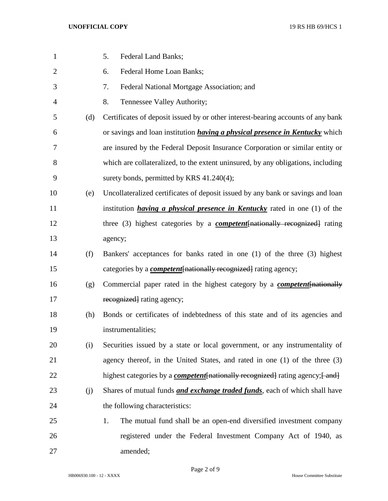| 1              |     | 5.<br><b>Federal Land Banks;</b>                                                             |
|----------------|-----|----------------------------------------------------------------------------------------------|
| $\overline{2}$ |     | Federal Home Loan Banks;<br>6.                                                               |
| 3              |     | 7.<br>Federal National Mortgage Association; and                                             |
| 4              |     | 8.<br>Tennessee Valley Authority;                                                            |
| 5              | (d) | Certificates of deposit issued by or other interest-bearing accounts of any bank             |
| 6              |     | or savings and loan institution <i>having a physical presence in Kentucky</i> which          |
| 7              |     | are insured by the Federal Deposit Insurance Corporation or similar entity or                |
| 8              |     | which are collateralized, to the extent uninsured, by any obligations, including             |
| 9              |     | surety bonds, permitted by KRS 41.240(4);                                                    |
| 10             | (e) | Uncollateralized certificates of deposit issued by any bank or savings and loan              |
| 11             |     | institution <i>having a physical presence in Kentucky</i> rated in one $(1)$ of the          |
| 12             |     | three (3) highest categories by a <b><i>competent</i></b> [nationally recognized] rating     |
| 13             |     | agency;                                                                                      |
| 14             | (f) | Bankers' acceptances for banks rated in one (1) of the three (3) highest                     |
| 15             |     | categories by a <i>competent</i> [nationally recognized] rating agency;                      |
| 16             | (g) | Commercial paper rated in the highest category by a <b><i>competent</i></b> [nationally      |
| 17             |     | recognized rating agency;                                                                    |
| 18             | (h) | Bonds or certificates of indebtedness of this state and of its agencies and                  |
| 19             |     | instrumentalities;                                                                           |
| 20             | (i) | Securities issued by a state or local government, or any instrumentality of                  |
| 21             |     | agency thereof, in the United States, and rated in one (1) of the three (3)                  |
| 22             |     | highest categories by a <b><i>competent</i></b> [nationally recognized] rating agency; [and] |
| 23             | (j) | Shares of mutual funds <i>and exchange traded funds</i> , each of which shall have           |
| 24             |     | the following characteristics:                                                               |
| 25             |     | The mutual fund shall be an open-end diversified investment company<br>1.                    |
| 26             |     | registered under the Federal Investment Company Act of 1940, as                              |
| 27             |     | amended;                                                                                     |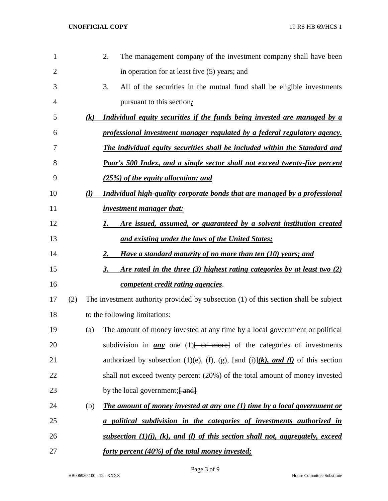| 1              |     |                   | 2.<br>The management company of the investment company shall have been                                                           |
|----------------|-----|-------------------|----------------------------------------------------------------------------------------------------------------------------------|
| $\overline{2}$ |     |                   | in operation for at least five (5) years; and                                                                                    |
| 3              |     |                   | 3.<br>All of the securities in the mutual fund shall be eligible investments                                                     |
| 4              |     |                   | pursuant to this section:                                                                                                        |
| 5              |     | $\left( k\right)$ | Individual equity securities if the funds being invested are managed by a                                                        |
| 6              |     |                   | professional investment manager regulated by a federal regulatory agency.                                                        |
| 7              |     |                   | <b>The individual equity securities shall be included within the Standard and</b>                                                |
| 8              |     |                   | <b>Poor's 500 Index, and a single sector shall not exceed twenty-five percent</b>                                                |
| 9              |     |                   | (25%) of the equity allocation; and                                                                                              |
| 10             |     | (l)               | Individual high-quality corporate bonds that are managed by a professional                                                       |
| 11             |     |                   | <i>investment manager that:</i>                                                                                                  |
| 12             |     |                   | Are issued, assumed, or guaranteed by a solvent institution created<br>1.                                                        |
| 13             |     |                   | and existing under the laws of the United States;                                                                                |
| 14             |     |                   | Have a standard maturity of no more than ten (10) years; and<br>2.                                                               |
| 15             |     |                   | Are rated in the three (3) highest rating categories by at least two (2)<br>3.                                                   |
| 16             |     |                   | competent credit rating agencies.                                                                                                |
| 17             | (2) |                   | The investment authority provided by subsection (1) of this section shall be subject                                             |
| 18             |     |                   | to the following limitations:                                                                                                    |
| 19             |     | (a)               | The amount of money invested at any time by a local government or political                                                      |
| 20             |     |                   | subdivision in $\frac{any}{any}$ one (1) $\left\{\text{or} \text{more}\right\}$ of the categories of investments                 |
| 21             |     |                   | authorized by subsection (1)(e), (f), (g), $\frac{\text{and}}{\text{and}} \frac{\text{ii}}{\text{ii}}$ , and (1) of this section |
| 22             |     |                   | shall not exceed twenty percent (20%) of the total amount of money invested                                                      |
| 23             |     |                   | by the local government; [ and]                                                                                                  |
| 24             |     | (b)               | The amount of money invested at any one $(1)$ time by a local government or                                                      |
| 25             |     |                   | a political subdivision in the categories of investments authorized in                                                           |
| 26             |     |                   | <u>subsection <math>(1)(j)</math>, <math>(k)</math>, and <math>(l)</math> of this section shall not, aggregately, exceed</u>     |
| 27             |     |                   | <u>forty percent (40%) of the total money invested;</u>                                                                          |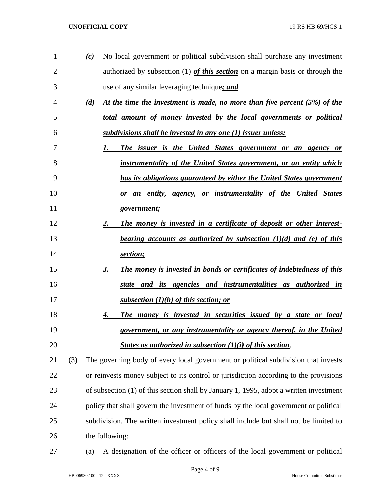| 1              |     | $\omega$ | No local government or political subdivision shall purchase any investment              |
|----------------|-----|----------|-----------------------------------------------------------------------------------------|
| $\overline{2}$ |     |          | authorized by subsection (1) of this section on a margin basis or through the           |
| 3              |     |          | use of any similar leveraging technique; and                                            |
| 4              |     | (d)      | At the time the investment is made, no more than five percent (5%) of the               |
| 5              |     |          | total amount of money invested by the local governments or political                    |
| 6              |     |          | subdivisions shall be invested in any one (1) issuer unless:                            |
| 7              |     |          | The issuer is the United States government or an agency or<br>1.                        |
| 8              |     |          | instrumentality of the United States government, or an entity which                     |
| 9              |     |          | has its obligations guaranteed by either the United States government                   |
| 10             |     |          | <u>or an entity, agency, or instrumentality of the United States</u>                    |
| 11             |     |          | government;                                                                             |
| 12             |     |          | The money is invested in a certificate of deposit or other interest-<br>2.              |
| 13             |     |          | <u>bearing accounts as authorized by subsection <math>(1)(d)</math> and (e) of this</u> |
| 14             |     |          | section;                                                                                |
| 15             |     |          | The money is invested in bonds or certificates of indebtedness of this<br>3.            |
| 16             |     |          | state and its agencies and instrumentalities as authorized in                           |
| 17             |     |          | subsection $(1)(h)$ of this section; or                                                 |
| 18             |     |          | The money is invested in securities issued by a state or local<br>4.                    |
| 19             |     |          | government, or any instrumentality or agency thereof, in the United                     |
| 20             |     |          | States as authorized in subsection $(1)(i)$ of this section.                            |
| 21             | (3) |          | The governing body of every local government or political subdivision that invests      |
| 22             |     |          | or reinvests money subject to its control or jurisdiction according to the provisions   |
| 23             |     |          | of subsection (1) of this section shall by January 1, 1995, adopt a written investment  |
| 24             |     |          | policy that shall govern the investment of funds by the local government or political   |
| 25             |     |          | subdivision. The written investment policy shall include but shall not be limited to    |
| 26             |     |          | the following:                                                                          |
|                |     |          |                                                                                         |

(a) A designation of the officer or officers of the local government or political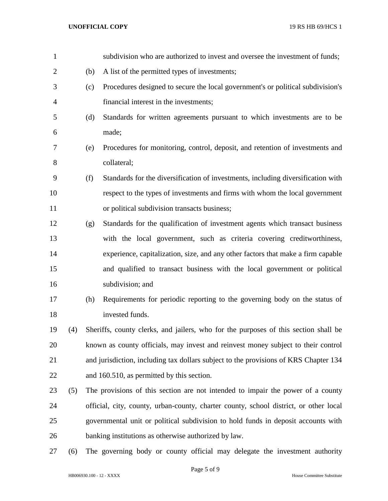| $\mathbf{1}$ |     |     | subdivision who are authorized to invest and oversee the investment of funds;         |
|--------------|-----|-----|---------------------------------------------------------------------------------------|
| 2            |     | (b) | A list of the permitted types of investments;                                         |
| 3            |     | (c) | Procedures designed to secure the local government's or political subdivision's       |
| 4            |     |     | financial interest in the investments;                                                |
| 5            |     | (d) | Standards for written agreements pursuant to which investments are to be              |
| 6            |     |     | made;                                                                                 |
| 7            |     | (e) | Procedures for monitoring, control, deposit, and retention of investments and         |
| 8            |     |     | collateral;                                                                           |
| 9            |     | (f) | Standards for the diversification of investments, including diversification with      |
| 10           |     |     | respect to the types of investments and firms with whom the local government          |
| 11           |     |     | or political subdivision transacts business;                                          |
| 12           |     | (g) | Standards for the qualification of investment agents which transact business          |
| 13           |     |     | with the local government, such as criteria covering creditworthiness,                |
| 14           |     |     | experience, capitalization, size, and any other factors that make a firm capable      |
| 15           |     |     | and qualified to transact business with the local government or political             |
| 16           |     |     | subdivision; and                                                                      |
| 17           |     | (h) | Requirements for periodic reporting to the governing body on the status of            |
| 18           |     |     | invested funds.                                                                       |
| 19           | (4) |     | Sheriffs, county clerks, and jailers, who for the purposes of this section shall be   |
| 20           |     |     | known as county officials, may invest and reinvest money subject to their control     |
| 21           |     |     | and jurisdiction, including tax dollars subject to the provisions of KRS Chapter 134  |
| 22           |     |     | and 160.510, as permitted by this section.                                            |
| 23           | (5) |     | The provisions of this section are not intended to impair the power of a county       |
| 24           |     |     | official, city, county, urban-county, charter county, school district, or other local |
| 25           |     |     | governmental unit or political subdivision to hold funds in deposit accounts with     |
| 26           |     |     | banking institutions as otherwise authorized by law.                                  |
| 27           | (6) |     | The governing body or county official may delegate the investment authority           |

Page 5 of 9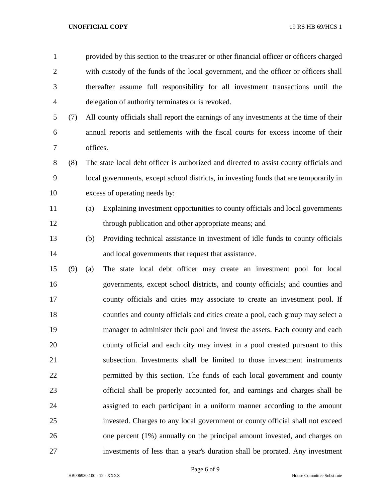| $\mathbf{1}$   |     |          | provided by this section to the treasurer or other financial officer or officers charged |
|----------------|-----|----------|------------------------------------------------------------------------------------------|
| $\overline{2}$ |     |          | with custody of the funds of the local government, and the officer or officers shall     |
| 3              |     |          | thereafter assume full responsibility for all investment transactions until the          |
| $\overline{4}$ |     |          | delegation of authority terminates or is revoked.                                        |
| 5              | (7) |          | All county officials shall report the earnings of any investments at the time of their   |
| 6              |     |          | annual reports and settlements with the fiscal courts for excess income of their         |
| 7              |     | offices. |                                                                                          |
| $8\,$          | (8) |          | The state local debt officer is authorized and directed to assist county officials and   |
| 9              |     |          | local governments, except school districts, in investing funds that are temporarily in   |
| 10             |     |          | excess of operating needs by:                                                            |
| 11             |     | (a)      | Explaining investment opportunities to county officials and local governments            |
| 12             |     |          | through publication and other appropriate means; and                                     |
| 13             |     | (b)      | Providing technical assistance in investment of idle funds to county officials           |
| 14             |     |          | and local governments that request that assistance.                                      |
| 15             | (9) | (a)      | The state local debt officer may create an investment pool for local                     |
| 16             |     |          | governments, except school districts, and county officials; and counties and             |
| 17             |     |          | county officials and cities may associate to create an investment pool. If               |
| 18             |     |          | counties and county officials and cities create a pool, each group may select a          |
| 19             |     |          | manager to administer their pool and invest the assets. Each county and each             |
| 20             |     |          | county official and each city may invest in a pool created pursuant to this              |
| 21             |     |          | subsection. Investments shall be limited to those investment instruments                 |
| 22             |     |          | permitted by this section. The funds of each local government and county                 |
| 23             |     |          | official shall be properly accounted for, and earnings and charges shall be              |
| 24             |     |          | assigned to each participant in a uniform manner according to the amount                 |
| 25             |     |          | invested. Charges to any local government or county official shall not exceed            |
| 26             |     |          | one percent (1%) annually on the principal amount invested, and charges on               |
| 27             |     |          | investments of less than a year's duration shall be prorated. Any investment             |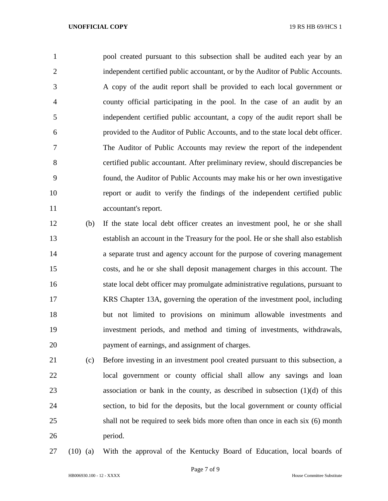pool created pursuant to this subsection shall be audited each year by an independent certified public accountant, or by the Auditor of Public Accounts. A copy of the audit report shall be provided to each local government or county official participating in the pool. In the case of an audit by an independent certified public accountant, a copy of the audit report shall be provided to the Auditor of Public Accounts, and to the state local debt officer. The Auditor of Public Accounts may review the report of the independent certified public accountant. After preliminary review, should discrepancies be found, the Auditor of Public Accounts may make his or her own investigative report or audit to verify the findings of the independent certified public accountant's report.

- (b) If the state local debt officer creates an investment pool, he or she shall establish an account in the Treasury for the pool. He or she shall also establish a separate trust and agency account for the purpose of covering management costs, and he or she shall deposit management charges in this account. The state local debt officer may promulgate administrative regulations, pursuant to KRS Chapter 13A, governing the operation of the investment pool, including but not limited to provisions on minimum allowable investments and investment periods, and method and timing of investments, withdrawals, payment of earnings, and assignment of charges.
- (c) Before investing in an investment pool created pursuant to this subsection, a local government or county official shall allow any savings and loan association or bank in the county, as described in subsection (1)(d) of this section, to bid for the deposits, but the local government or county official shall not be required to seek bids more often than once in each six (6) month period.
- 

(10) (a) With the approval of the Kentucky Board of Education, local boards of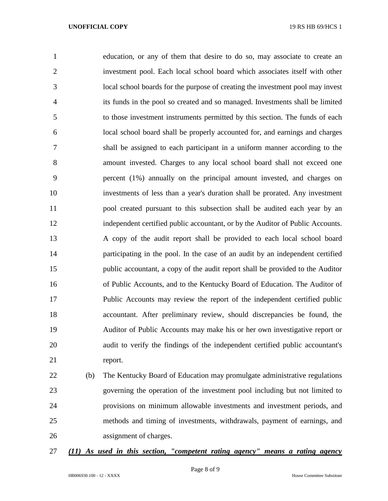education, or any of them that desire to do so, may associate to create an investment pool. Each local school board which associates itself with other local school boards for the purpose of creating the investment pool may invest its funds in the pool so created and so managed. Investments shall be limited to those investment instruments permitted by this section. The funds of each local school board shall be properly accounted for, and earnings and charges shall be assigned to each participant in a uniform manner according to the amount invested. Charges to any local school board shall not exceed one percent (1%) annually on the principal amount invested, and charges on investments of less than a year's duration shall be prorated. Any investment pool created pursuant to this subsection shall be audited each year by an independent certified public accountant, or by the Auditor of Public Accounts. A copy of the audit report shall be provided to each local school board participating in the pool. In the case of an audit by an independent certified public accountant, a copy of the audit report shall be provided to the Auditor of Public Accounts, and to the Kentucky Board of Education. The Auditor of Public Accounts may review the report of the independent certified public accountant. After preliminary review, should discrepancies be found, the Auditor of Public Accounts may make his or her own investigative report or audit to verify the findings of the independent certified public accountant's report.

 (b) The Kentucky Board of Education may promulgate administrative regulations governing the operation of the investment pool including but not limited to provisions on minimum allowable investments and investment periods, and methods and timing of investments, withdrawals, payment of earnings, and assignment of charges.

# *(11) As used in this section, "competent rating agency" means a rating agency*